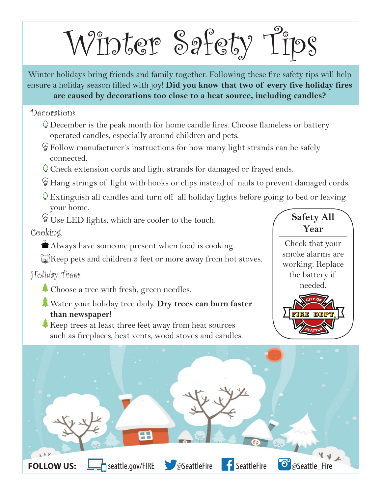Winter Safety Tips

Winter holidays bring friends and family together. Following these fire safety tips will help ensure a holiday season filled with joy! **Did you know that two of every five holiday fires are caused by decorations too close to a heat source, including candles?** 

Decorations

- December is the peak month for home candle fires. Choose flameless or battery operated candles, especially around children and pets.
- Follow manufacturer's instructions for how many light strands can be safely connected.
- Check extension cords and light strands for damaged or frayed ends.
- Hang strings of light with hooks or clips instead of nails to prevent damaged cords.
- $\circ$  Extinguish all candles and turn off all holiday lights before going to bed or leaving your home.
- Use LED lights, which are cooler to the touch.

Cooking

- $\stackrel{\leftrightarrow}{\bullet}$  Always have someone present when food is cooking.
- $\approx$ Keep pets and children 3 feet or more away from hot stoves.

Holiday Trees

- $\triangle$  Choose a tree with fresh, green needles.
- Water your holiday tree daily. **Dry trees can burn faster than newspaper!**
- $\clubsuit$  Keep trees at least three feet away from heat sources such as fireplaces, heat vents, wood stoves and candles.



Check that your smoke alarms are working. Replace the battery if needed.